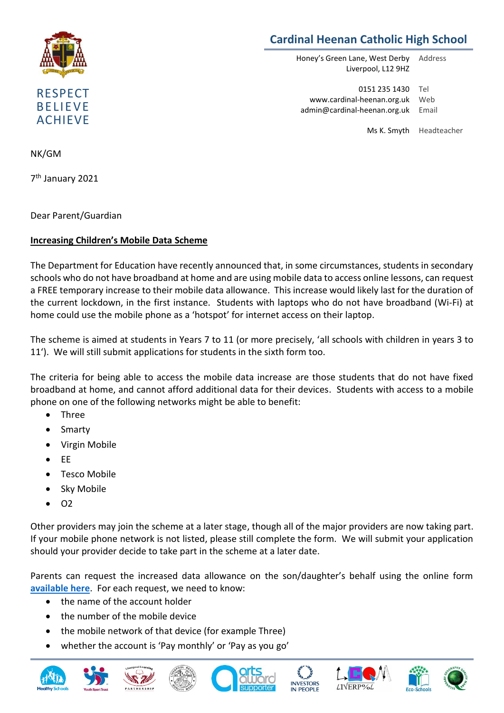

## **Cardinal Heenan Catholic High School**

Honey's Green Lane, West Derby Liverpool, L12 9HZ Address

0151 235 1430 Tel www.cardinal-heenan.org.uk admin@cardinal-heenan.org.uk Email Web

Ms K. Smyth Headteacher

NK/GM

7 th January 2021

Dear Parent/Guardian

## **Increasing Children's Mobile Data Scheme**

The Department for Education have recently announced that, in some circumstances, students in secondary schools who do not have broadband at home and are using mobile data to access online lessons, can request a FREE temporary increase to their mobile data allowance. This increase would likely last for the duration of the current lockdown, in the first instance. Students with laptops who do not have broadband (Wi-Fi) at home could use the mobile phone as a 'hotspot' for internet access on their laptop.

The scheme is aimed at students in Years 7 to 11 (or more precisely, 'all schools with children in years 3 to 11'). We will still submit applications for students in the sixth form too.

The criteria for being able to access the mobile data increase are those students that do not have fixed broadband at home, and cannot afford additional data for their devices. Students with access to a mobile phone on one of the following networks might be able to benefit:

- Three
- Smarty
- Virgin Mobile
- $\bullet$  EE
- Tesco Mobile
- Sky Mobile
- $\bullet$  O<sub>2</sub>

Other providers may join the scheme at a later stage, though all of the major providers are now taking part. If your mobile phone network is not listed, please still complete the form. We will submit your application should your provider decide to take part in the scheme at a later date.

Parents can request the increased data allowance on the son/daughter's behalf using the online form **[available here](https://forms.office.com/Pages/ResponsePage.aspx?id=RgoK2VeLXE-wLINEh5dimL0BDAp7eMRFtqNkJSTRnzlUMjhWR1ZZVUo3M0tQTzBOWjRXMjM2TE5RNC4u)**. For each request, we need to know:

- the name of the account holder
- the number of the mobile device
- the mobile network of that device (for example Three)
- whether the account is 'Pay monthly' or 'Pay as you go'